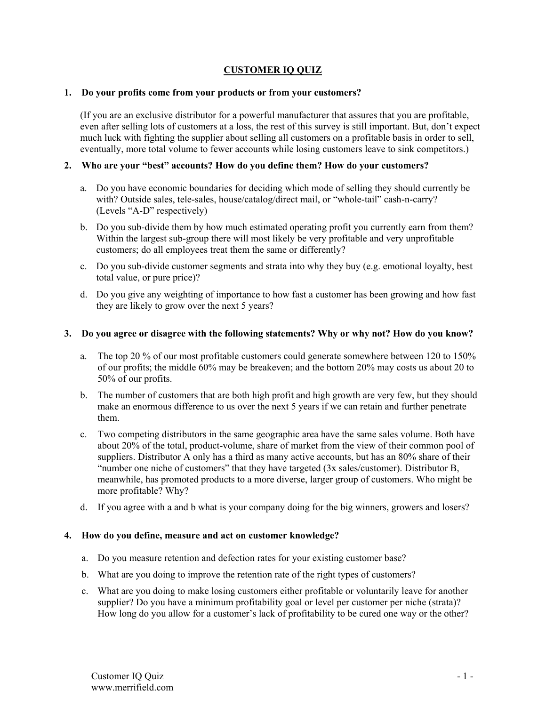# **CUSTOMER IQ QUIZ**

## **1. Do your profits come from your products or from your customers?**

(If you are an exclusive distributor for a powerful manufacturer that assures that you are profitable, even after selling lots of customers at a loss, the rest of this survey is still important. But, don't expect much luck with fighting the supplier about selling all customers on a profitable basis in order to sell, eventually, more total volume to fewer accounts while losing customers leave to sink competitors.)

## **2. Who are your "best" accounts? How do you define them? How do your customers?**

- a. Do you have economic boundaries for deciding which mode of selling they should currently be with? Outside sales, tele-sales, house/catalog/direct mail, or "whole-tail" cash-n-carry? (Levels "A-D" respectively)
- b. Do you sub-divide them by how much estimated operating profit you currently earn from them? Within the largest sub-group there will most likely be very profitable and very unprofitable customers; do all employees treat them the same or differently?
- c. Do you sub-divide customer segments and strata into why they buy (e.g. emotional loyalty, best total value, or pure price)?
- d. Do you give any weighting of importance to how fast a customer has been growing and how fast they are likely to grow over the next 5 years?

## **3. Do you agree or disagree with the following statements? Why or why not? How do you know?**

- a. The top 20 % of our most profitable customers could generate somewhere between 120 to 150% of our profits; the middle 60% may be breakeven; and the bottom 20% may costs us about 20 to 50% of our profits.
- b. The number of customers that are both high profit and high growth are very few, but they should make an enormous difference to us over the next 5 years if we can retain and further penetrate them.
- c. Two competing distributors in the same geographic area have the same sales volume. Both have about 20% of the total, product-volume, share of market from the view of their common pool of suppliers. Distributor A only has a third as many active accounts, but has an 80% share of their "number one niche of customers" that they have targeted (3x sales/customer). Distributor B, meanwhile, has promoted products to a more diverse, larger group of customers. Who might be more profitable? Why?
- d. If you agree with a and b what is your company doing for the big winners, growers and losers?

#### **4. How do you define, measure and act on customer knowledge?**

- a. Do you measure retention and defection rates for your existing customer base?
- b. What are you doing to improve the retention rate of the right types of customers?
- c. What are you doing to make losing customers either profitable or voluntarily leave for another supplier? Do you have a minimum profitability goal or level per customer per niche (strata)? How long do you allow for a customer's lack of profitability to be cured one way or the other?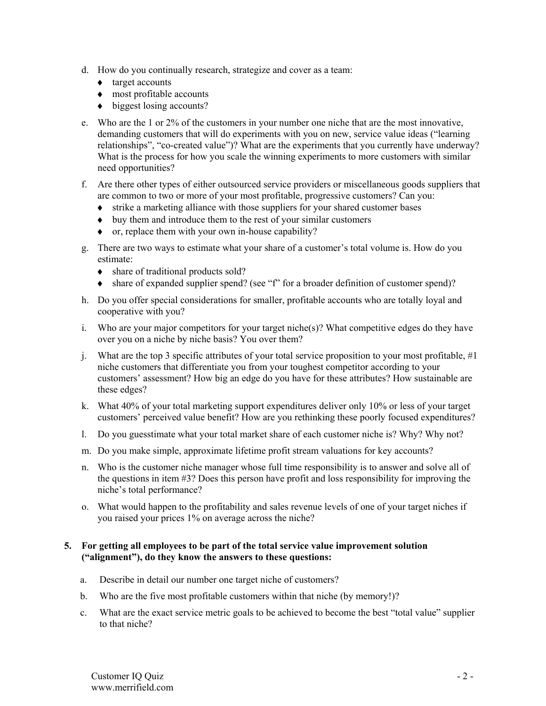- d. How do you continually research, strategize and cover as a team:
	- ♦ target accounts
	- ♦ most profitable accounts
	- $\leftrightarrow$  biggest losing accounts?
- e. Who are the 1 or 2% of the customers in your number one niche that are the most innovative, demanding customers that will do experiments with you on new, service value ideas ("learning relationships", "co-created value")? What are the experiments that you currently have underway? What is the process for how you scale the winning experiments to more customers with similar need opportunities?
- f. Are there other types of either outsourced service providers or miscellaneous goods suppliers that are common to two or more of your most profitable, progressive customers? Can you:
	- ♦ strike a marketing alliance with those suppliers for your shared customer bases
	- ♦ buy them and introduce them to the rest of your similar customers
	- ♦ or, replace them with your own in-house capability?
- g. There are two ways to estimate what your share of a customer's total volume is. How do you estimate:
	- share of traditional products sold?
	- ♦ share of expanded supplier spend? (see "f" for a broader definition of customer spend)?
- h. Do you offer special considerations for smaller, profitable accounts who are totally loyal and cooperative with you?
- i. Who are your major competitors for your target niche(s)? What competitive edges do they have over you on a niche by niche basis? You over them?
- j. What are the top 3 specific attributes of your total service proposition to your most profitable, #1 niche customers that differentiate you from your toughest competitor according to your customers' assessment? How big an edge do you have for these attributes? How sustainable are these edges?
- k. What 40% of your total marketing support expenditures deliver only 10% or less of your target customers' perceived value benefit? How are you rethinking these poorly focused expenditures?
- l. Do you guesstimate what your total market share of each customer niche is? Why? Why not?
- m. Do you make simple, approximate lifetime profit stream valuations for key accounts?
- n. Who is the customer niche manager whose full time responsibility is to answer and solve all of the questions in item #3? Does this person have profit and loss responsibility for improving the niche's total performance?
- o. What would happen to the profitability and sales revenue levels of one of your target niches if you raised your prices 1% on average across the niche?

## **5. For getting all employees to be part of the total service value improvement solution ("alignment"), do they know the answers to these questions:**

- a. Describe in detail our number one target niche of customers?
- b. Who are the five most profitable customers within that niche (by memory!)?
- c. What are the exact service metric goals to be achieved to become the best "total value" supplier to that niche?